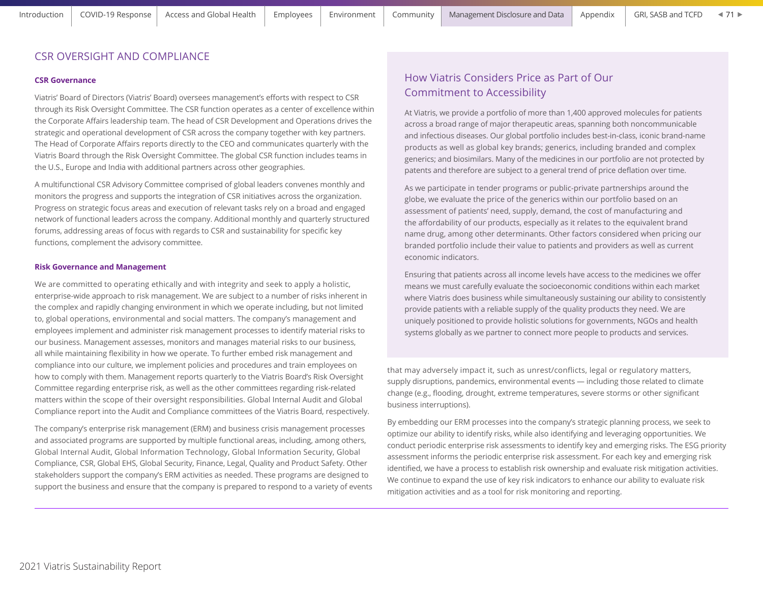## CSR OVERSIGHT AND COMPLIANCE

#### **CSR Governance**

Viatris' Board of Directors (Viatris' Board) oversees management's efforts with respect to CSR through its Risk Oversight Committee. The CSR function operates as a center of excellence within the Corporate Affairs leadership team. The head of CSR Development and Operations drives the strategic and operational development of CSR across the company together with key partners. The Head of Corporate Affairs reports directly to the CEO and communicates quarterly with the Viatris Board through the Risk Oversight Committee. The global CSR function includes teams in the U.S., Europe and India with additional partners across other geographies.

A multifunctional CSR Advisory Committee comprised of global leaders convenes monthly and monitors the progress and supports the integration of CSR initiatives across the organization. Progress on strategic focus areas and execution of relevant tasks rely on a broad and engaged network of functional leaders across the company. Additional monthly and quarterly structured forums, addressing areas of focus with regards to CSR and sustainability for specific key functions, complement the advisory committee.

#### **Risk Governance and Management**

We are committed to operating ethically and with integrity and seek to apply a holistic, enterprise-wide approach to risk management. We are subject to a number of risks inherent in the complex and rapidly changing environment in which we operate including, but not limited to, global operations, environmental and social matters. The company's management and employees implement and administer risk management processes to identify material risks to our business. Management assesses, monitors and manages material risks to our business, all while maintaining flexibility in how we operate. To further embed risk management and compliance into our culture, we implement policies and procedures and train employees on how to comply with them. Management reports quarterly to the Viatris Board's Risk Oversight Committee regarding enterprise risk, as well as the other committees regarding risk-related matters within the scope of their oversight responsibilities. Global Internal Audit and Global Compliance report into the Audit and Compliance committees of the Viatris Board, respectively.

The company's enterprise risk management (ERM) and business crisis management processes and associated programs are supported by multiple functional areas, including, among others, Global Internal Audit, Global Information Technology, Global Information Security, Global Compliance, CSR, Global EHS, Global Security, Finance, Legal, Quality and Product Safety. Other stakeholders support the company's ERM activities as needed. These programs are designed to support the business and ensure that the company is prepared to respond to a variety of events

# How Viatris Considers Price as Part of Our Commitment to Accessibility

At Viatris, we provide a portfolio of more than 1,400 approved molecules for patients across a broad range of major therapeutic areas, spanning both noncommunicable and infectious diseases. Our global portfolio includes best-in-class, iconic brand-name products as well as global key brands; generics, including branded and complex generics; and biosimilars. Many of the medicines in our portfolio are not protected by patents and therefore are subject to a general trend of price deflation over time.

As we participate in tender programs or public-private partnerships around the globe, we evaluate the price of the generics within our portfolio based on an assessment of patients' need, supply, demand, the cost of manufacturing and the affordability of our products, especially as it relates to the equivalent brand name drug, among other determinants. Other factors considered when pricing our branded portfolio include their value to patients and providers as well as current economic indicators.

Ensuring that patients across all income levels have access to the medicines we offer means we must carefully evaluate the socioeconomic conditions within each market where Viatris does business while simultaneously sustaining our ability to consistently provide patients with a reliable supply of the quality products they need. We are uniquely positioned to provide holistic solutions for governments, NGOs and health systems globally as we partner to connect more people to products and services.

that may adversely impact it, such as unrest/conflicts, legal or regulatory matters, supply disruptions, pandemics, environmental events — including those related to climate change (e.g., flooding, drought, extreme temperatures, severe storms or other significant business interruptions).

By embedding our ERM processes into the company's strategic planning process, we seek to optimize our ability to identify risks, while also identifying and leveraging opportunities. We conduct periodic enterprise risk assessments to identify key and emerging risks. The ESG priority assessment informs the periodic enterprise risk assessment. For each key and emerging risk identified, we have a process to establish risk ownership and evaluate risk mitigation activities. We continue to expand the use of key risk indicators to enhance our ability to evaluate risk mitigation activities and as a tool for risk monitoring and reporting.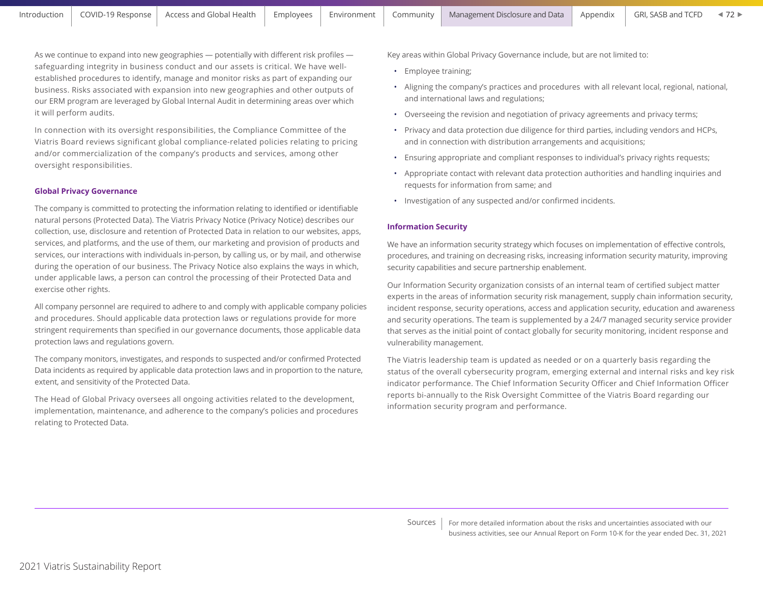As we continue to expand into new geographies — potentially with different risk profiles safeguarding integrity in business conduct and our assets is critical. We have wellestablished procedures to identify, manage and monitor risks as part of expanding our business. Risks associated with expansion into new geographies and other outputs of our ERM program are leveraged by Global Internal Audit in determining areas over which it will perform audits.

In connection with its oversight responsibilities, the Compliance Committee of the Viatris Board reviews significant global compliance-related policies relating to pricing and/or commercialization of the company's products and services, among other oversight responsibilities.

## **Global Privacy Governance**

The company is committed to protecting the information relating to identified or identifiable natural persons (Protected Data). The Viatris Privacy Notice (Privacy Notice) describes our collection, use, disclosure and retention of Protected Data in relation to our websites, apps, services, and platforms, and the use of them, our marketing and provision of products and services, our interactions with individuals in-person, by calling us, or by mail, and otherwise during the operation of our business. The Privacy Notice also explains the ways in which, under applicable laws, a person can control the processing of their Protected Data and exercise other rights.

All company personnel are required to adhere to and comply with applicable company policies and procedures. Should applicable data protection laws or regulations provide for more stringent requirements than specified in our governance documents, those applicable data protection laws and regulations govern.

The company monitors, investigates, and responds to suspected and/or confirmed Protected Data incidents as required by applicable data protection laws and in proportion to the nature, extent, and sensitivity of the Protected Data.

The Head of Global Privacy oversees all ongoing activities related to the development, implementation, maintenance, and adherence to the company's policies and procedures relating to Protected Data.

Key areas within Global Privacy Governance include, but are not limited to:

- Employee training;
- Aligning the company's practices and procedures with all relevant local, regional, national, and international laws and regulations;
- Overseeing the revision and negotiation of privacy agreements and privacy terms;
- Privacy and data protection due diligence for third parties, including vendors and HCPs, and in connection with distribution arrangements and acquisitions;
- Ensuring appropriate and compliant responses to individual's privacy rights requests;
- Appropriate contact with relevant data protection authorities and handling inquiries and requests for information from same; and
- Investigation of any suspected and/or confirmed incidents.

#### **Information Security**

We have an information security strategy which focuses on implementation of effective controls, procedures, and training on decreasing risks, increasing information security maturity, improving security capabilities and secure partnership enablement.

Our Information Security organization consists of an internal team of certified subject matter experts in the areas of information security risk management, supply chain information security, incident response, security operations, access and application security, education and awareness and security operations. The team is supplemented by a 24/7 managed security service provider that serves as the initial point of contact globally for security monitoring, incident response and vulnerability management.

The Viatris leadership team is updated as needed or on a quarterly basis regarding the status of the overall cybersecurity program, emerging external and internal risks and key risk indicator performance. The Chief Information Security Officer and Chief Information Officer reports bi-annually to the Risk Oversight Committee of the Viatris Board regarding our information security program and performance.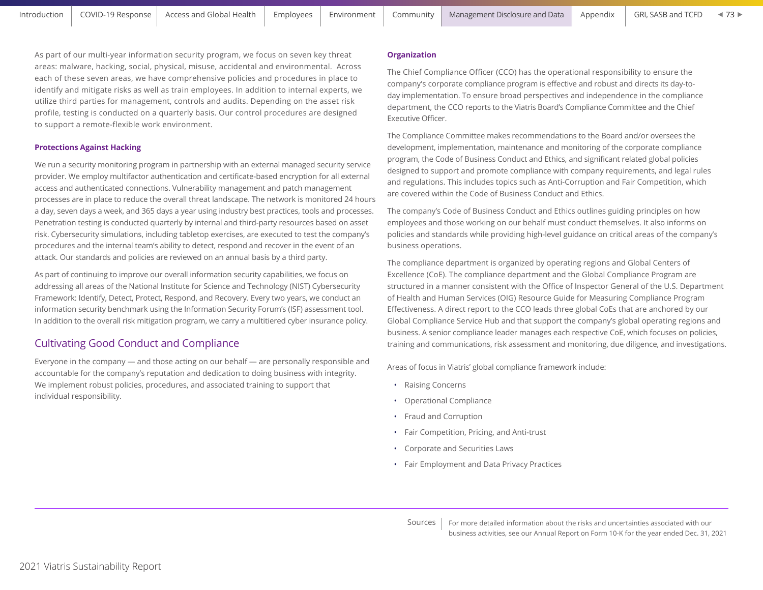$473$ 

As part of our multi-year information security program, we focus on seven key threat areas: malware, hacking, social, physical, misuse, accidental and environmental. Across each of these seven areas, we have comprehensive policies and procedures in place to identify and mitigate risks as well as train employees. In addition to internal experts, we utilize third parties for management, controls and audits. Depending on the asset risk profile, testing is conducted on a quarterly basis. Our control procedures are designed to support a remote-flexible work environment.

## **Protections Against Hacking**

We run a security monitoring program in partnership with an external managed security service provider. We employ multifactor authentication and certificate-based encryption for all external access and authenticated connections. Vulnerability management and patch management processes are in place to reduce the overall threat landscape. The network is monitored 24 hours a day, seven days a week, and 365 days a year using industry best practices, tools and processes. Penetration testing is conducted quarterly by internal and third-party resources based on asset risk. Cybersecurity simulations, including tabletop exercises, are executed to test the company's procedures and the internal team's ability to detect, respond and recover in the event of an attack. Our standards and policies are reviewed on an annual basis by a third party.

As part of continuing to improve our overall information security capabilities, we focus on addressing all areas of the National Institute for Science and Technology (NIST) Cybersecurity Framework: Identify, Detect, Protect, Respond, and Recovery. Every two years, we conduct an information security benchmark using the Information Security Forum's (ISF) assessment tool. In addition to the overall risk mitigation program, we carry a multitiered cyber insurance policy.

# Cultivating Good Conduct and Compliance

Everyone in the company — and those acting on our behalf — are personally responsible and accountable for the company's reputation and dedication to doing business with integrity. We implement robust policies, procedures, and associated training to support that individual responsibility.

## **Organization**

The Chief Compliance Officer (CCO) has the operational responsibility to ensure the company's corporate compliance program is effective and robust and directs its day-today implementation. To ensure broad perspectives and independence in the compliance department, the CCO reports to the Viatris Board's Compliance Committee and the Chief Executive Officer.

The Compliance Committee makes recommendations to the Board and/or oversees the development, implementation, maintenance and monitoring of the corporate compliance program, the Code of Business Conduct and Ethics, and significant related global policies designed to support and promote compliance with company requirements, and legal rules and regulations. This includes topics such as Anti-Corruption and Fair Competition, which are covered within the Code of Business Conduct and Ethics.

The company's Code of Business Conduct and Ethics outlines guiding principles on how employees and those working on our behalf must conduct themselves. It also informs on policies and standards while providing high-level guidance on critical areas of the company's business operations.

The compliance department is organized by operating regions and Global Centers of Excellence (CoE). The compliance department and the Global Compliance Program are structured in a manner consistent with the Office of Inspector General of the U.S. Department of Health and Human Services (OIG) Resource Guide for Measuring Compliance Program Effectiveness. A direct report to the CCO leads three global CoEs that are anchored by our Global Compliance Service Hub and that support the company's global operating regions and business. A senior compliance leader manages each respective CoE, which focuses on policies, training and communications, risk assessment and monitoring, due diligence, and investigations.

Areas of focus in Viatris' global compliance framework include:

- Raising Concerns
- Operational Compliance
- Fraud and Corruption
- Fair Competition, Pricing, and Anti-trust
- Corporate and Securities Laws
- Fair Employment and Data Privacy Practices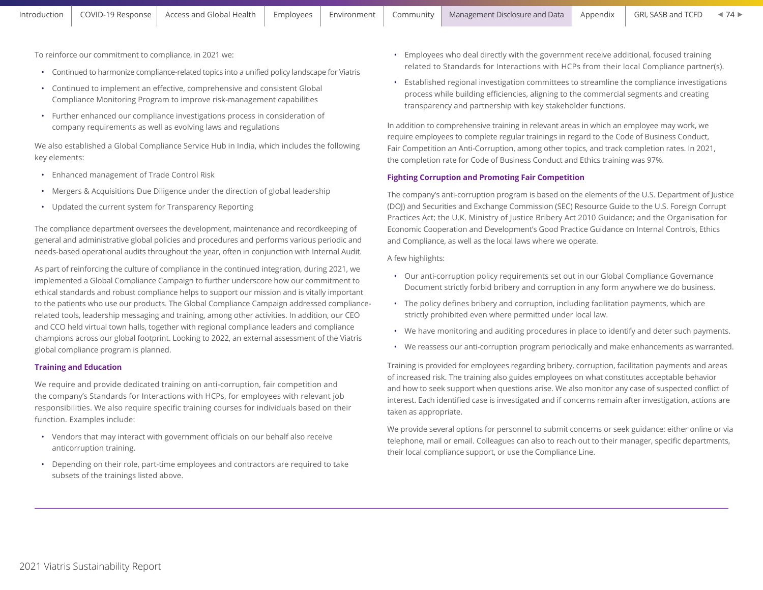To reinforce our commitment to compliance, in 2021 we:

- Continued to harmonize compliance-related topics into a unified policy landscape for Viatris
- Continued to implement an effective, comprehensive and consistent Global Compliance Monitoring Program to improve risk-management capabilities
- Further enhanced our compliance investigations process in consideration of company requirements as well as evolving laws and regulations

We also established a Global Compliance Service Hub in India, which includes the following key elements:

- Enhanced management of Trade Control Risk
- Mergers & Acquisitions Due Diligence under the direction of global leadership
- Updated the current system for Transparency Reporting

The compliance department oversees the development, maintenance and recordkeeping of general and administrative global policies and procedures and performs various periodic and needs-based operational audits throughout the year, often in conjunction with Internal Audit.

As part of reinforcing the culture of compliance in the continued integration, during 2021, we implemented a Global Compliance Campaign to further underscore how our commitment to ethical standards and robust compliance helps to support our mission and is vitally important to the patients who use our products. The Global Compliance Campaign addressed compliancerelated tools, leadership messaging and training, among other activities. In addition, our CEO and CCO held virtual town halls, together with regional compliance leaders and compliance champions across our global footprint. Looking to 2022, an external assessment of the Viatris global compliance program is planned.

## **Training and Education**

We require and provide dedicated training on anti-corruption, fair competition and the company's Standards for Interactions with HCPs, for employees with relevant job responsibilities. We also require specific training courses for individuals based on their function. Examples include:

- Vendors that may interact with government officials on our behalf also receive anticorruption training.
- Depending on their role, part-time employees and contractors are required to take subsets of the trainings listed above.
- Employees who deal directly with the government receive additional, focused training related to Standards for Interactions with HCPs from their local Compliance partner(s).
- Established regional investigation committees to streamline the compliance investigations process while building efficiencies, aligning to the commercial segments and creating transparency and partnership with key stakeholder functions.

In addition to comprehensive training in relevant areas in which an employee may work, we require employees to complete regular trainings in regard to the Code of Business Conduct, Fair Competition an Anti-Corruption, among other topics, and track completion rates. In 2021, the completion rate for Code of Business Conduct and Ethics training was 97%.

## **Fighting Corruption and Promoting Fair Competition**

The company's anti-corruption program is based on the elements of the U.S. Department of Justice (DOJ) and Securities and Exchange Commission (SEC) Resource Guide to the U.S. Foreign Corrupt Practices Act; the U.K. Ministry of Justice Bribery Act 2010 Guidance; and the Organisation for Economic Cooperation and Development's Good Practice Guidance on Internal Controls, Ethics and Compliance, as well as the local laws where we operate.

#### A few highlights:

- Our anti-corruption policy requirements set out in our Global Compliance Governance Document strictly forbid bribery and corruption in any form anywhere we do business.
- The policy defines bribery and corruption, including facilitation payments, which are strictly prohibited even where permitted under local law.
- We have monitoring and auditing procedures in place to identify and deter such payments.
- We reassess our anti-corruption program periodically and make enhancements as warranted.

Training is provided for employees regarding bribery, corruption, facilitation payments and areas of increased risk. The training also guides employees on what constitutes acceptable behavior and how to seek support when questions arise. We also monitor any case of suspected conflict of interest. Each identified case is investigated and if concerns remain after investigation, actions are taken as appropriate.

We provide several options for personnel to submit concerns or seek guidance: either online or via telephone, mail or email. Colleagues can also to reach out to their manager, specific departments, their local compliance support, or use the Compliance Line.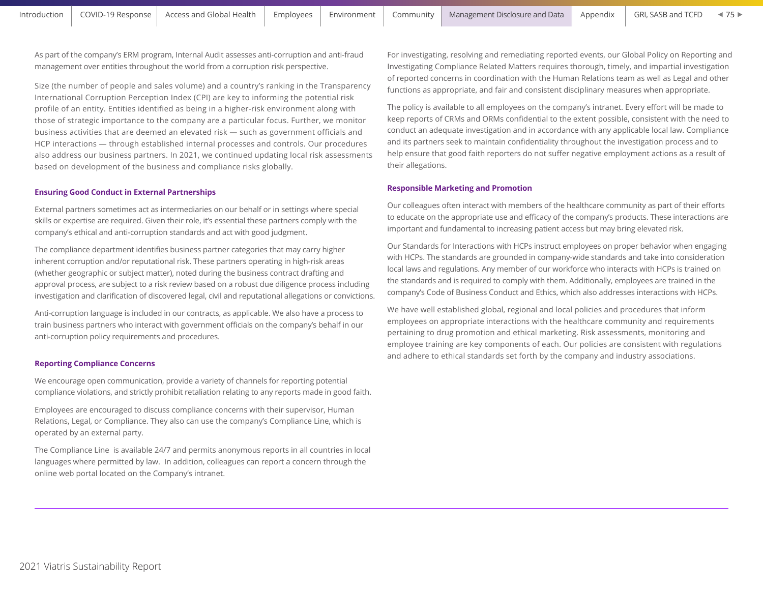As part of the company's ERM program, Internal Audit assesses anti-corruption and anti-fraud management over entities throughout the world from a corruption risk perspective.

Size (the number of people and sales volume) and a country's ranking in the Transparency International Corruption Perception Index (CPI) are key to informing the potential risk profile of an entity. Entities identified as being in a higher-risk environment along with those of strategic importance to the company are a particular focus. Further, we monitor business activities that are deemed an elevated risk — such as government officials and HCP interactions — through established internal processes and controls. Our procedures also address our business partners. In 2021, we continued updating local risk assessments based on development of the business and compliance risks globally.

## **Ensuring Good Conduct in External Partnerships**

External partners sometimes act as intermediaries on our behalf or in settings where special skills or expertise are required. Given their role, it's essential these partners comply with the company's ethical and anti-corruption standards and act with good judgment.

The compliance department identifies business partner categories that may carry higher inherent corruption and/or reputational risk. These partners operating in high-risk areas (whether geographic or subject matter), noted during the business contract drafting and approval process, are subject to a risk review based on a robust due diligence process including investigation and clarification of discovered legal, civil and reputational allegations or convictions.

Anti-corruption language is included in our contracts, as applicable. We also have a process to train business partners who interact with government officials on the company's behalf in our anti-corruption policy requirements and procedures.

#### **Reporting Compliance Concerns**

We encourage open communication, provide a variety of channels for reporting potential compliance violations, and strictly prohibit retaliation relating to any reports made in good faith.

Employees are encouraged to discuss compliance concerns with their supervisor, Human Relations, Legal, or Compliance. They also can use the company's Compliance Line, which is operated by an external party.

The Compliance Line is available 24/7 and permits anonymous reports in all countries in local languages where permitted by law. In addition, colleagues can report a concern through the online web portal located on the Company's intranet.

For investigating, resolving and remediating reported events, our Global Policy on Reporting and Investigating Compliance Related Matters requires thorough, timely, and impartial investigation of reported concerns in coordination with the Human Relations team as well as Legal and other functions as appropriate, and fair and consistent disciplinary measures when appropriate.

The policy is available to all employees on the company's intranet. Every effort will be made to keep reports of CRMs and ORMs confidential to the extent possible, consistent with the need to conduct an adequate investigation and in accordance with any applicable local law. Compliance and its partners seek to maintain confidentiality throughout the investigation process and to help ensure that good faith reporters do not suffer negative employment actions as a result of their allegations.

## **Responsible Marketing and Promotion**

Our colleagues often interact with members of the healthcare community as part of their efforts to educate on the appropriate use and efficacy of the company's products. These interactions are important and fundamental to increasing patient access but may bring elevated risk.

Our Standards for Interactions with HCPs instruct employees on proper behavior when engaging with HCPs. The standards are grounded in company-wide standards and take into consideration local laws and regulations. Any member of our workforce who interacts with HCPs is trained on the standards and is required to comply with them. Additionally, employees are trained in the company's Code of Business Conduct and Ethics, which also addresses interactions with HCPs.

We have well established global, regional and local policies and procedures that inform employees on appropriate interactions with the healthcare community and requirements pertaining to drug promotion and ethical marketing. Risk assessments, monitoring and employee training are key components of each. Our policies are consistent with regulations and adhere to ethical standards set forth by the company and industry associations.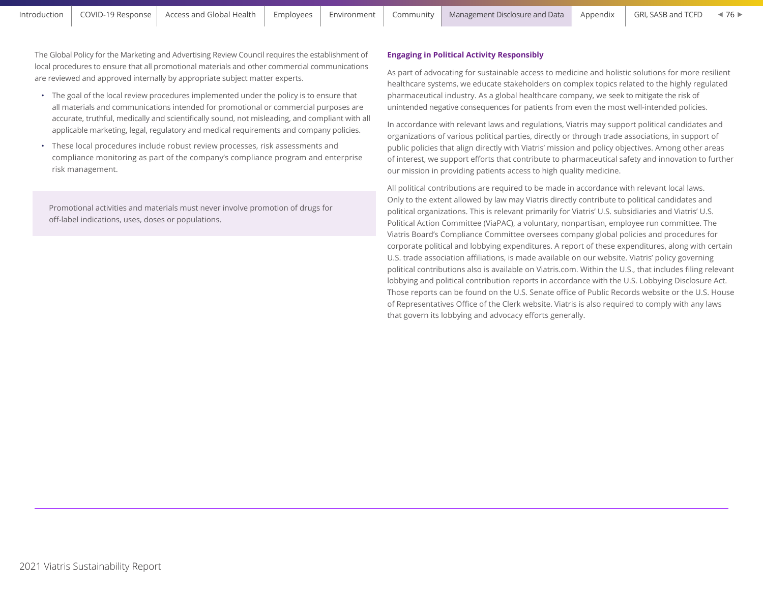The Global Policy for the Marketing and Advertising Review Council requires the establishment of local procedures to ensure that all promotional materials and other commercial communications are reviewed and approved internally by appropriate subject matter experts.

- The goal of the local review procedures implemented under the policy is to ensure that all materials and communications intended for promotional or commercial purposes are accurate, truthful, medically and scientifically sound, not misleading, and compliant with all applicable marketing, legal, regulatory and medical requirements and company policies.
- These local procedures include robust review processes, risk assessments and compliance monitoring as part of the company's compliance program and enterprise risk management.

Promotional activities and materials must never involve promotion of drugs for off-label indications, uses, doses or populations.

## **Engaging in Political Activity Responsibly**

As part of advocating for sustainable access to medicine and holistic solutions for more resilient healthcare systems, we educate stakeholders on complex topics related to the highly regulated pharmaceutical industry. As a global healthcare company, we seek to mitigate the risk of unintended negative consequences for patients from even the most well-intended policies.

In accordance with relevant laws and regulations, Viatris may support political candidates and organizations of various political parties, directly or through trade associations, in support of public policies that align directly with Viatris' mission and policy objectives. Among other areas of interest, we support efforts that contribute to pharmaceutical safety and innovation to further our mission in providing patients access to high quality medicine.

All political contributions are required to be made in accordance with relevant local laws. Only to the extent allowed by law may Viatris directly contribute to political candidates and political organizations. This is relevant primarily for Viatris' U.S. subsidiaries and Viatris' U.S. Political Action Committee (ViaPAC), a voluntary, nonpartisan, employee run committee. The Viatris Board's Compliance Committee oversees company global policies and procedures for corporate political and lobbying expenditures. A report of these expenditures, along with certain U.S. trade association affiliations, is made available on our website. Viatris' policy governing political contributions also is available on Viatris.com. Within the U.S., that includes filing relevant lobbying and political contribution reports in accordance with the U.S. Lobbying Disclosure Act. Those reports can be found on the U.S. Senate office of Public Records website or the U.S. House of Representatives Office of the Clerk website. Viatris is also required to comply with any laws that govern its lobbying and advocacy efforts generally.